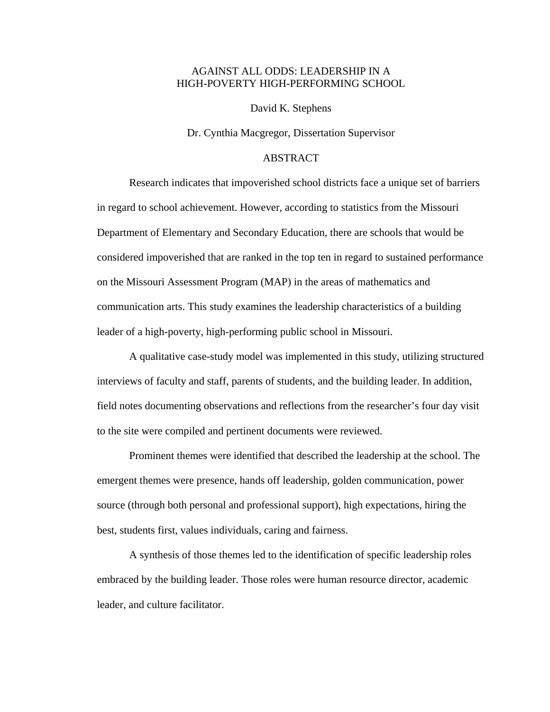## AGAINST ALL ODDS: LEADERSHIP IN A HIGH-POVERTY HIGH-PERFORMING SCHOOL

David K. Stephens

Dr. Cynthia Macgregor, Dissertation Supervisor

## ABSTRACT

Research indicates that impoverished school districts face a unique set of barriers in regard to school achievement. However, according to statistics from the Missouri Department of Elementary and Secondary Education, there are schools that would be considered impoverished that are ranked in the top ten in regard to sustained performance on the Missouri Assessment Program (MAP) in the areas of mathematics and communication arts. This study examines the leadership characteristics of a building leader of a high-poverty, high-performing public school in Missouri.

A qualitative case-study model was implemented in this study, utilizing structured interviews of faculty and staff, parents of students, and the building leader. In addition, field notes documenting observations and reflections from the researcher's four day visit to the site were compiled and pertinent documents were reviewed.

Prominent themes were identified that described the leadership at the school. The emergent themes were presence, hands off leadership, golden communication, power source (through both personal and professional support), high expectations, hiring the best, students first, values individuals, caring and fairness.

A synthesis of those themes led to the identification of specific leadership roles embraced by the building leader. Those roles were human resource director, academic leader, and culture facilitator.